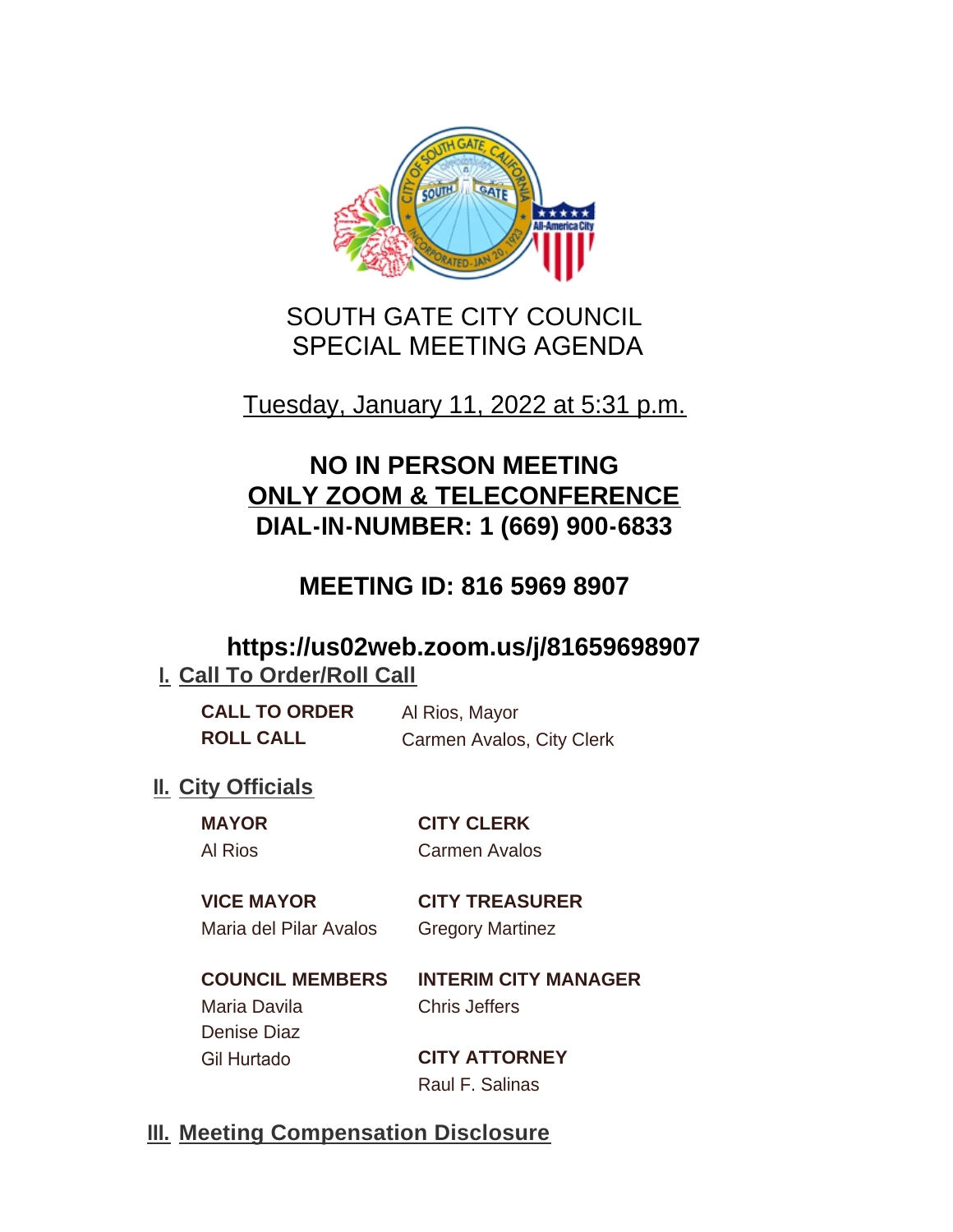

# SOUTH GATE CITY COUNCIL SPECIAL MEETING AGENDA

# Tuesday, January 11, 2022 at 5:31 p.m.

# **NO IN PERSON MEETING ONLY ZOOM & TELECONFERENCE DIAL-IN-NUMBER: 1 (669) 900-6833**

# **MEETING ID: 816 5969 8907**

## **https://us02web.zoom.us/j/81659698907 I. Call To Order/Roll Call**

| <b>CALL TO ORDER</b> | Al Rios, Mayor            |
|----------------------|---------------------------|
| <b>ROLL CALL</b>     | Carmen Avalos, City Clerk |

## **II.** City Officials

**MAYOR CITY CLERK** Al Rios Carmen Avalos

### **VICE MAYOR CITY TREASURER** Maria del Pilar Avalos Gregory Martinez

**COUNCIL MEMBERS INTERIM CITY MANAGER** Maria Davila Chris Jeffers Denise Diaz Gil Hurtado **CITY ATTORNEY**

Raul F. Salinas

## **Meeting Compensation Disclosure III.**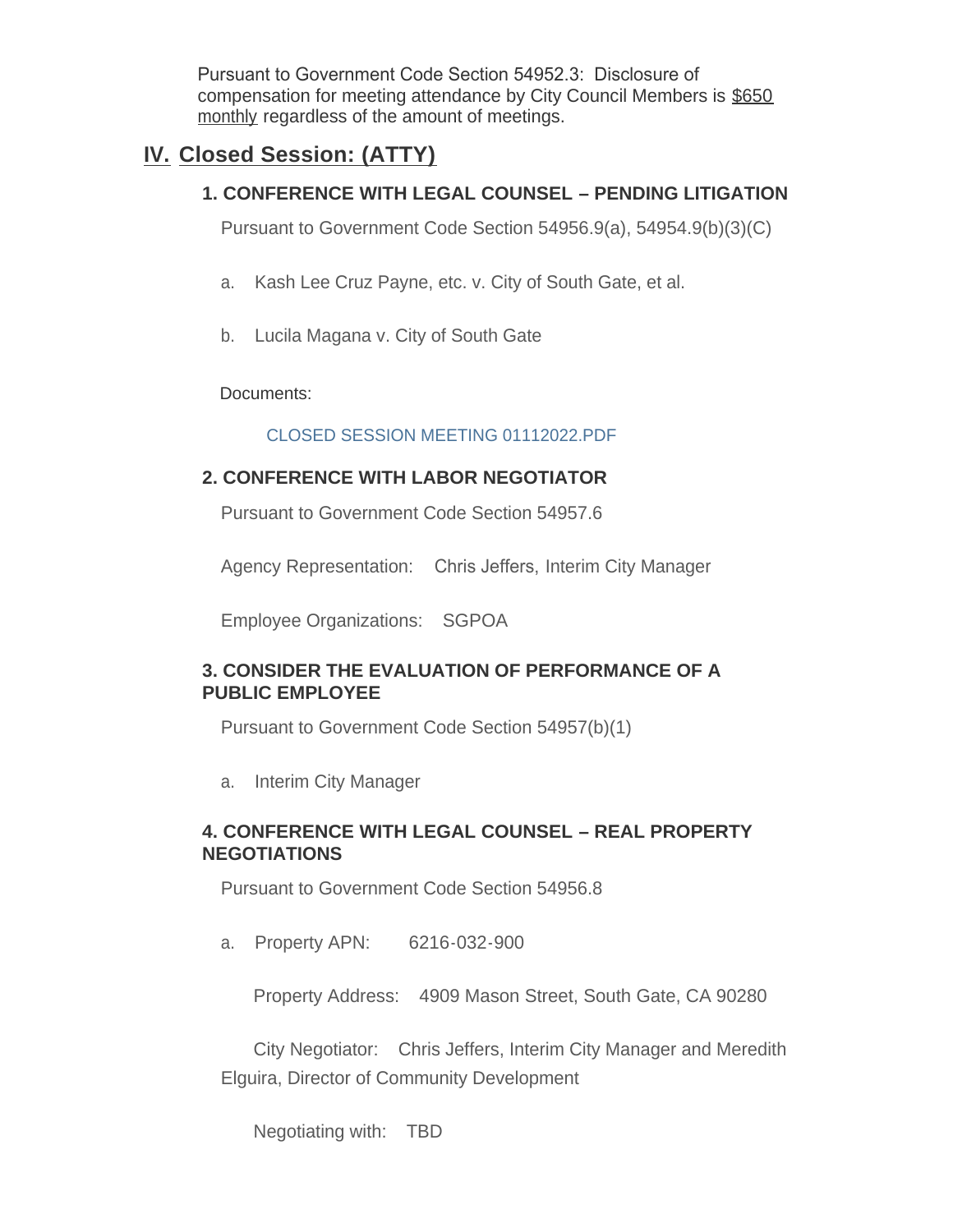Pursuant to Government Code Section 54952.3: Disclosure of compensation for meeting attendance by City Council Members is \$650 monthly regardless of the amount of meetings.

### **Closed Session: (ATTY) IV.**

### **1. CONFERENCE WITH LEGAL COUNSEL – PENDING LITIGATION**

Pursuant to Government Code Section 54956.9(a), 54954.9(b)(3)(C)

- a. Kash Lee Cruz Payne, etc. v. City of South Gate, et al.
- b. Lucila Magana v. City of South Gate

Documents:

#### CLOSED SESSION MEETING 01112022.PDF

### **2. CONFERENCE WITH LABOR NEGOTIATOR**

Pursuant to Government Code Section 54957.6

Agency Representation: Chris Jeffers, Interim City Manager

Employee Organizations: SGPOA

#### **3. CONSIDER THE EVALUATION OF PERFORMANCE OF A PUBLIC EMPLOYEE**

Pursuant to Government Code Section 54957(b)(1)

a. Interim City Manager

#### **4. CONFERENCE WITH LEGAL COUNSEL – REAL PROPERTY NEGOTIATIONS**

Pursuant to Government Code Section 54956.8

a. Property APN: 6216-032-900

Property Address: 4909 Mason Street, South Gate, CA 90280

City Negotiator: Chris Jeffers, Interim City Manager and Meredith Elguira, Director of Community Development

Negotiating with: TBD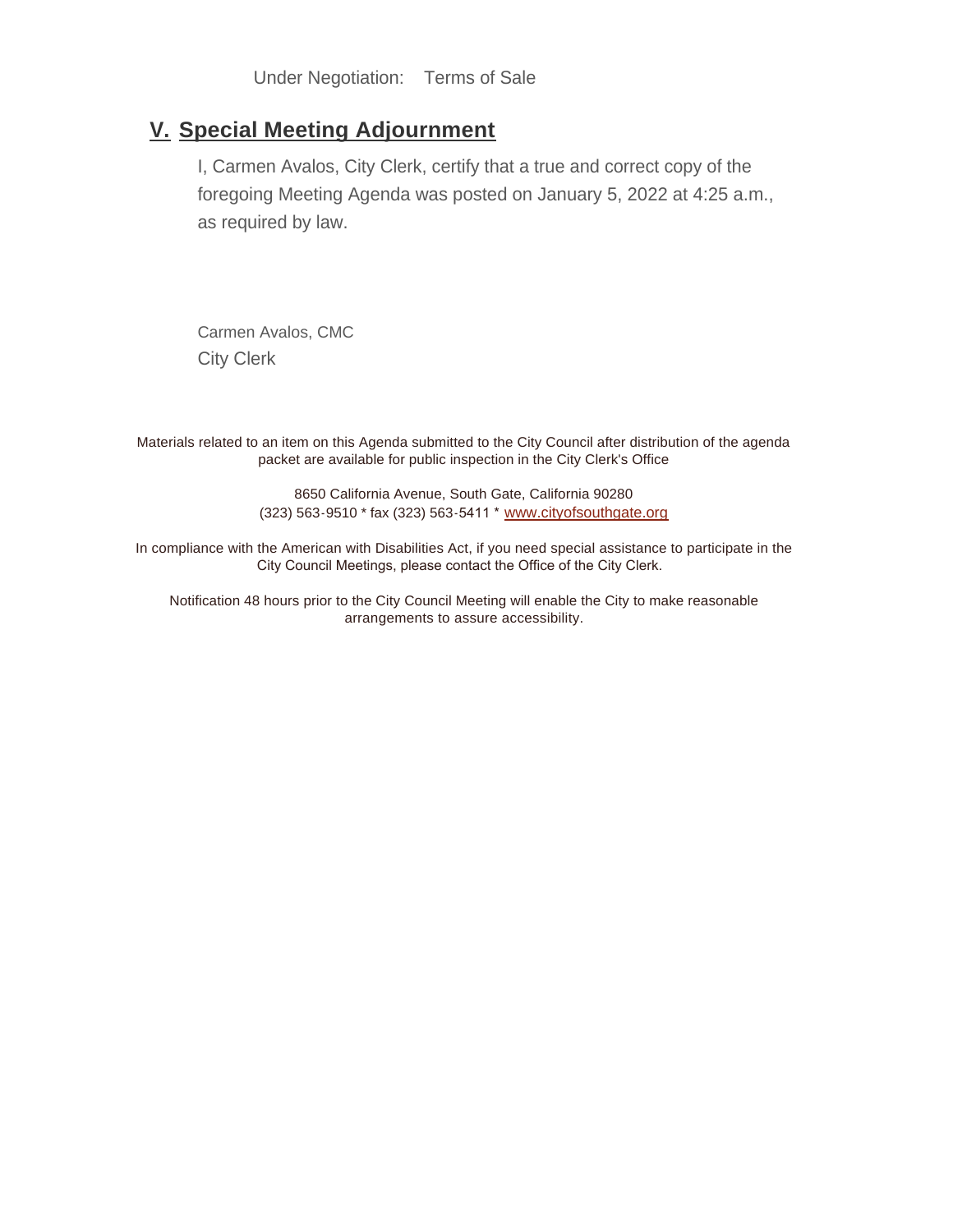Under Negotiation: Terms of Sale

### **Special Meeting Adjournment V.**

I, Carmen Avalos, City Clerk, certify that a true and correct copy of the foregoing Meeting Agenda was posted on January 5, 2022 at 4:25 a.m., as required by law.

Carmen Avalos, CMC City Clerk

Materials related to an item on this Agenda submitted to the City Council after distribution of the agenda packet are available for public inspection in the City Clerk's Office

> 8650 California Avenue, South Gate, California 90280 (323) 563-9510 \* fax (323) 563-5411 \* [www.cityofsouthgate.org](http://www.cityofsouthgate.org/)

In compliance with the American with Disabilities Act, if you need special assistance to participate in the City Council Meetings, please contact the Office of the City Clerk.

Notification 48 hours prior to the City Council Meeting will enable the City to make reasonable arrangements to assure accessibility.